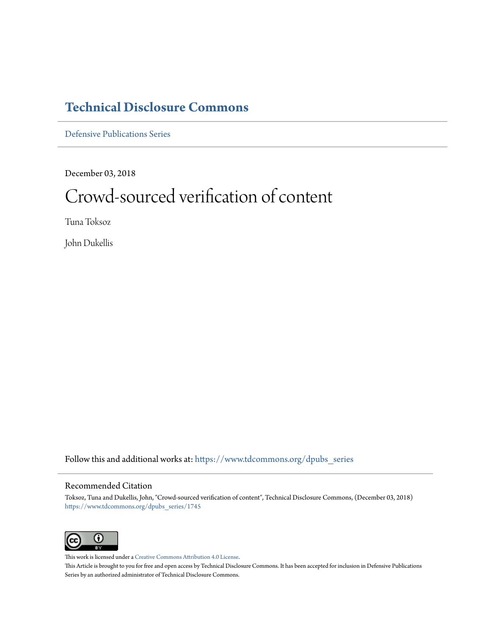# **[Technical Disclosure Commons](https://www.tdcommons.org?utm_source=www.tdcommons.org%2Fdpubs_series%2F1745&utm_medium=PDF&utm_campaign=PDFCoverPages)**

[Defensive Publications Series](https://www.tdcommons.org/dpubs_series?utm_source=www.tdcommons.org%2Fdpubs_series%2F1745&utm_medium=PDF&utm_campaign=PDFCoverPages)

December 03, 2018

# Crowd-sourced verification of content

Tuna Toksoz

John Dukellis

Follow this and additional works at: [https://www.tdcommons.org/dpubs\\_series](https://www.tdcommons.org/dpubs_series?utm_source=www.tdcommons.org%2Fdpubs_series%2F1745&utm_medium=PDF&utm_campaign=PDFCoverPages)

# Recommended Citation

Toksoz, Tuna and Dukellis, John, "Crowd-sourced verification of content", Technical Disclosure Commons, (December 03, 2018) [https://www.tdcommons.org/dpubs\\_series/1745](https://www.tdcommons.org/dpubs_series/1745?utm_source=www.tdcommons.org%2Fdpubs_series%2F1745&utm_medium=PDF&utm_campaign=PDFCoverPages)



This work is licensed under a [Creative Commons Attribution 4.0 License.](http://creativecommons.org/licenses/by/4.0/deed.en_US) This Article is brought to you for free and open access by Technical Disclosure Commons. It has been accepted for inclusion in Defensive Publications Series by an authorized administrator of Technical Disclosure Commons.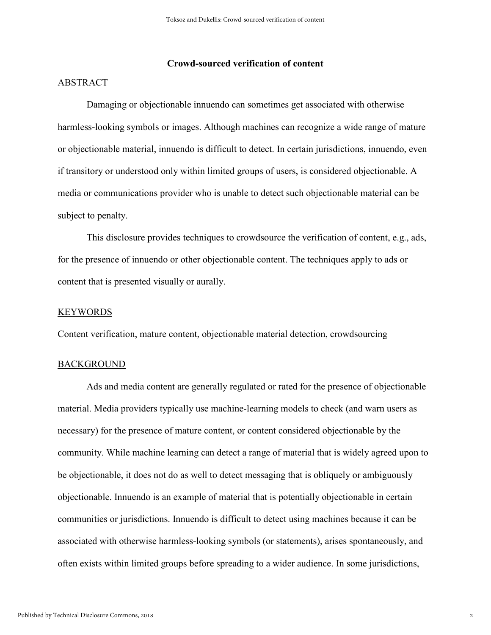# **Crowd-sourced verification of content**

# ABSTRACT

Damaging or objectionable innuendo can sometimes get associated with otherwise harmless-looking symbols or images. Although machines can recognize a wide range of mature or objectionable material, innuendo is difficult to detect. In certain jurisdictions, innuendo, even if transitory or understood only within limited groups of users, is considered objectionable. A media or communications provider who is unable to detect such objectionable material can be subject to penalty.

This disclosure provides techniques to crowdsource the verification of content, e.g., ads, for the presence of innuendo or other objectionable content. The techniques apply to ads or content that is presented visually or aurally.

#### **KEYWORDS**

Content verification, mature content, objectionable material detection, crowdsourcing

#### BACKGROUND

Ads and media content are generally regulated or rated for the presence of objectionable material. Media providers typically use machine-learning models to check (and warn users as necessary) for the presence of mature content, or content considered objectionable by the community. While machine learning can detect a range of material that is widely agreed upon to be objectionable, it does not do as well to detect messaging that is obliquely or ambiguously objectionable. Innuendo is an example of material that is potentially objectionable in certain communities or jurisdictions. Innuendo is difficult to detect using machines because it can be associated with otherwise harmless-looking symbols (or statements), arises spontaneously, and often exists within limited groups before spreading to a wider audience. In some jurisdictions,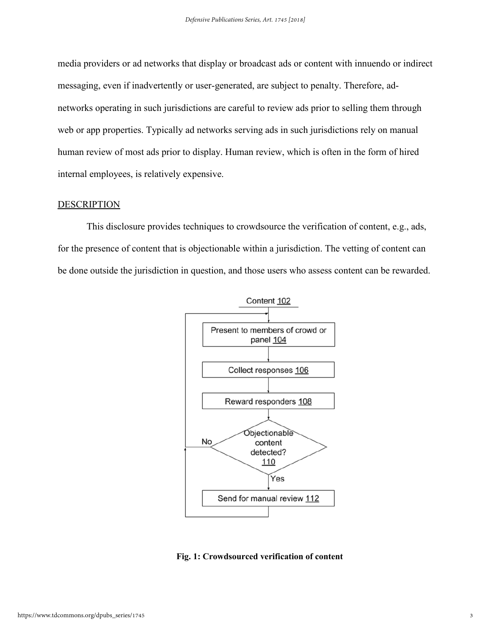media providers or ad networks that display or broadcast ads or content with innuendo or indirect messaging, even if inadvertently or user-generated, are subject to penalty. Therefore, adnetworks operating in such jurisdictions are careful to review ads prior to selling them through web or app properties. Typically ad networks serving ads in such jurisdictions rely on manual human review of most ads prior to display. Human review, which is often in the form of hired internal employees, is relatively expensive.

### **DESCRIPTION**

This disclosure provides techniques to crowdsource the verification of content, e.g., ads, for the presence of content that is objectionable within a jurisdiction. The vetting of content can be done outside the jurisdiction in question, and those users who assess content can be rewarded.



#### **Fig. 1: Crowdsourced verification of content**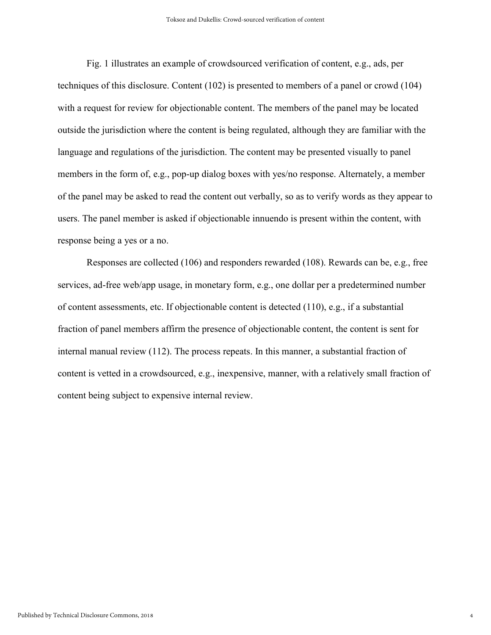Fig. 1 illustrates an example of crowdsourced verification of content, e.g., ads, per techniques of this disclosure. Content (102) is presented to members of a panel or crowd (104) with a request for review for objectionable content. The members of the panel may be located outside the jurisdiction where the content is being regulated, although they are familiar with the language and regulations of the jurisdiction. The content may be presented visually to panel members in the form of, e.g., pop-up dialog boxes with yes/no response. Alternately, a member of the panel may be asked to read the content out verbally, so as to verify words as they appear to users. The panel member is asked if objectionable innuendo is present within the content, with response being a yes or a no.

Responses are collected (106) and responders rewarded (108). Rewards can be, e.g., free services, ad-free web/app usage, in monetary form, e.g., one dollar per a predetermined number of content assessments, etc. If objectionable content is detected (110), e.g., if a substantial fraction of panel members affirm the presence of objectionable content, the content is sent for internal manual review (112). The process repeats. In this manner, a substantial fraction of content is vetted in a crowdsourced, e.g., inexpensive, manner, with a relatively small fraction of content being subject to expensive internal review.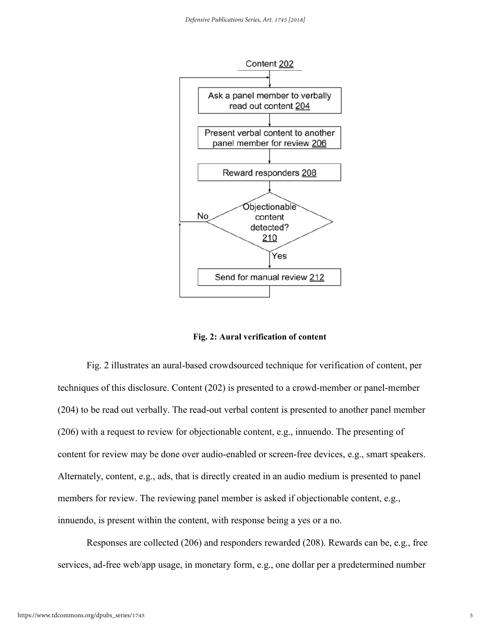

**Fig. 2: Aural verification of content** 

Fig. 2 illustrates an aural-based crowdsourced technique for verification of content, per techniques of this disclosure. Content (202) is presented to a crowd-member or panel-member (204) to be read out verbally. The read-out verbal content is presented to another panel member (206) with a request to review for objectionable content, e.g., innuendo. The presenting of content for review may be done over audio-enabled or screen-free devices, e.g., smart speakers. Alternately, content, e.g., ads, that is directly created in an audio medium is presented to panel members for review. The reviewing panel member is asked if objectionable content, e.g., innuendo, is present within the content, with response being a yes or a no.

Responses are collected (206) and responders rewarded (208). Rewards can be, e.g., free services, ad-free web/app usage, in monetary form, e.g., one dollar per a predetermined number